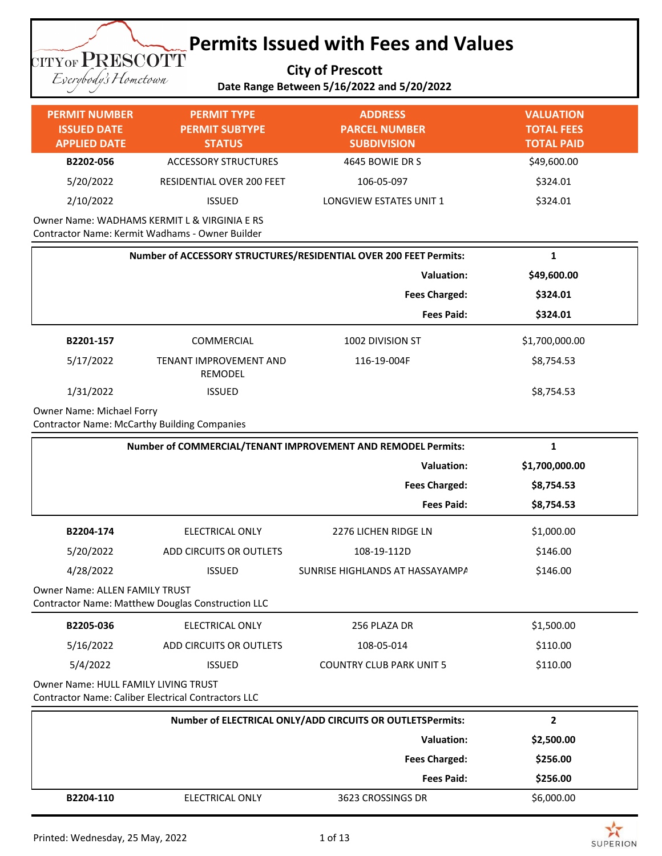**City of Prescott Date Range Between 5/16/2022 and 5/20/2022**

Everybody's Hometown

**TITYOF PRESCOTT** 

#### **PERMIT NUMBER ISSUED DATE APPLIED DATE PERMIT TYPE PERMIT SUBTYPE STATUS ADDRESS PARCEL NUMBER SUBDIVISION VALUATION TOTAL FEES TOTAL PAID B2202-056** ACCESSORY STRUCTURES 4645 BOWIE DR S 49,600.00 5/20/2022 RESIDENTIAL OVER 200 FEET 106-05-097 \$324.01 2/10/2022 ISSUED LONGVIEW ESTATES UNIT 1 \$324.01 Owner Name: WADHAMS KERMIT L & VIRGINIA E RS

Contractor Name: Kermit Wadhams - Owner Builder

| Number of ACCESSORY STRUCTURES/RESIDENTIAL OVER 200 FEET Permits: |                                   |                      | 1              |  |
|-------------------------------------------------------------------|-----------------------------------|----------------------|----------------|--|
|                                                                   | Valuation:                        |                      | \$49,600.00    |  |
|                                                                   |                                   | <b>Fees Charged:</b> | \$324.01       |  |
|                                                                   |                                   | <b>Fees Paid:</b>    | \$324.01       |  |
| B2201-157                                                         | <b>COMMERCIAL</b>                 | 1002 DIVISION ST     | \$1,700,000.00 |  |
| 5/17/2022                                                         | TENANT IMPROVEMENT AND<br>REMODEL | 116-19-004F          | \$8,754.53     |  |
| 1/31/2022                                                         | <b>ISSUED</b>                     |                      | \$8,754.53     |  |

Owner Name: Michael Forry

Contractor Name: McCarthy Building Companies

| Number of COMMERCIAL/TENANT IMPROVEMENT AND REMODEL Permits:                               |                                                                                                    |                                                           | 1              |  |  |
|--------------------------------------------------------------------------------------------|----------------------------------------------------------------------------------------------------|-----------------------------------------------------------|----------------|--|--|
| Valuation:                                                                                 |                                                                                                    | \$1,700,000.00                                            |                |  |  |
|                                                                                            |                                                                                                    | <b>Fees Charged:</b>                                      | \$8,754.53     |  |  |
|                                                                                            |                                                                                                    | <b>Fees Paid:</b>                                         | \$8,754.53     |  |  |
| B2204-174                                                                                  | ELECTRICAL ONLY                                                                                    | 2276 LICHEN RIDGE LN                                      | \$1,000.00     |  |  |
| 5/20/2022                                                                                  | ADD CIRCUITS OR OUTLETS                                                                            | 108-19-112D                                               | \$146.00       |  |  |
| 4/28/2022                                                                                  | <b>ISSUED</b>                                                                                      | SUNRISE HIGHLANDS AT HASSAYAMPA                           | \$146.00       |  |  |
| <b>Owner Name: ALLEN FAMILY TRUST</b><br>Contractor Name: Matthew Douglas Construction LLC |                                                                                                    |                                                           |                |  |  |
| B2205-036                                                                                  | ELECTRICAL ONLY                                                                                    | 256 PLAZA DR                                              | \$1,500.00     |  |  |
| 5/16/2022                                                                                  | ADD CIRCUITS OR OUTLETS                                                                            | 108-05-014                                                | \$110.00       |  |  |
| 5/4/2022                                                                                   | <b>ISSUED</b>                                                                                      | <b>COUNTRY CLUB PARK UNIT 5</b>                           | \$110.00       |  |  |
|                                                                                            | Owner Name: HULL FAMILY LIVING TRUST<br><b>Contractor Name: Caliber Electrical Contractors LLC</b> |                                                           |                |  |  |
|                                                                                            |                                                                                                    | Number of ELECTRICAL ONLY/ADD CIRCUITS OR OUTLETSPermits: | $\overline{2}$ |  |  |
|                                                                                            |                                                                                                    | <b>Valuation:</b>                                         | \$2,500.00     |  |  |
|                                                                                            |                                                                                                    | <b>Fees Charged:</b>                                      | \$256.00       |  |  |
|                                                                                            |                                                                                                    | <b>Fees Paid:</b>                                         | \$256.00       |  |  |



**SUPERION**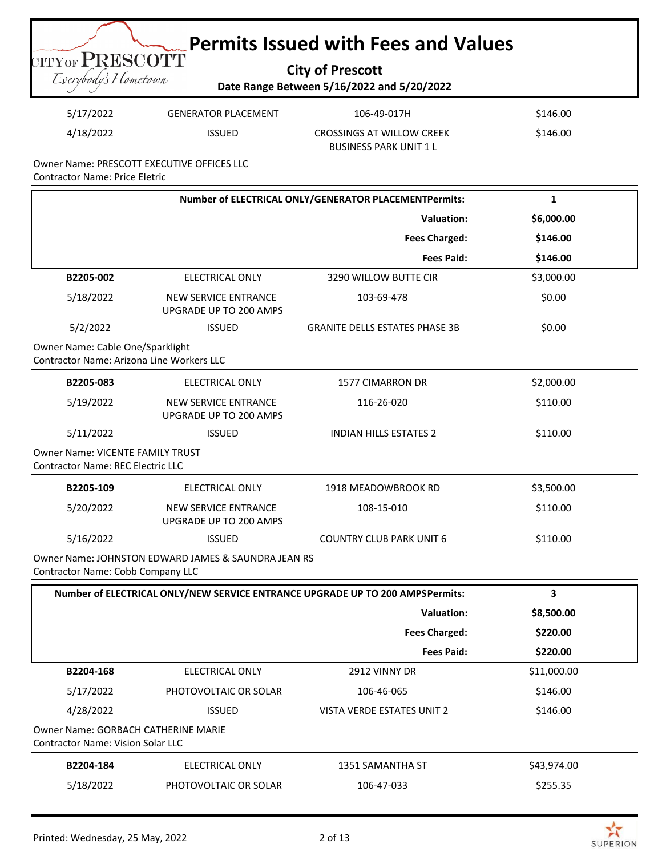**City of Prescott Date Range Between 5/16/2022 and 5/20/2022**

| 5/17/2022 | <b>GENERATOR PLACEMENT</b> | 106-49-017H                                                | \$146.00 |
|-----------|----------------------------|------------------------------------------------------------|----------|
| 4/18/2022 | <b>ISSUED</b>              | CROSSINGS AT WILLOW CREEK<br><b>BUSINESS PARK UNIT 1 L</b> | \$146.00 |

Owner Name: PRESCOTT EXECUTIVE OFFICES LLC Contractor Name: Price Eletric

**TITYOF PRESCOTT** Eserybody's Hometown

|                                                                               |                                                     | Number of ELECTRICAL ONLY/GENERATOR PLACEMENTPermits:                         | $\mathbf{1}$ |
|-------------------------------------------------------------------------------|-----------------------------------------------------|-------------------------------------------------------------------------------|--------------|
|                                                                               |                                                     | <b>Valuation:</b>                                                             | \$6,000.00   |
|                                                                               |                                                     | <b>Fees Charged:</b>                                                          | \$146.00     |
|                                                                               |                                                     | <b>Fees Paid:</b>                                                             | \$146.00     |
| B2205-002                                                                     | <b>ELECTRICAL ONLY</b>                              | 3290 WILLOW BUTTE CIR                                                         | \$3,000.00   |
| 5/18/2022                                                                     | NEW SERVICE ENTRANCE<br>UPGRADE UP TO 200 AMPS      | 103-69-478                                                                    | \$0.00       |
| 5/2/2022                                                                      | <b>ISSUED</b>                                       | <b>GRANITE DELLS ESTATES PHASE 3B</b>                                         | \$0.00       |
| Owner Name: Cable One/Sparklight<br>Contractor Name: Arizona Line Workers LLC |                                                     |                                                                               |              |
| B2205-083                                                                     | <b>ELECTRICAL ONLY</b>                              | 1577 CIMARRON DR                                                              | \$2,000.00   |
| 5/19/2022                                                                     | NEW SERVICE ENTRANCE<br>UPGRADE UP TO 200 AMPS      | 116-26-020                                                                    | \$110.00     |
| 5/11/2022                                                                     | <b>ISSUED</b>                                       | INDIAN HILLS ESTATES 2                                                        | \$110.00     |
| Owner Name: VICENTE FAMILY TRUST<br>Contractor Name: REC Electric LLC         |                                                     |                                                                               |              |
| B2205-109                                                                     | <b>ELECTRICAL ONLY</b>                              | 1918 MEADOWBROOK RD                                                           | \$3,500.00   |
| 5/20/2022                                                                     | NEW SERVICE ENTRANCE<br>UPGRADE UP TO 200 AMPS      | 108-15-010                                                                    | \$110.00     |
| 5/16/2022                                                                     | <b>ISSUED</b>                                       | <b>COUNTRY CLUB PARK UNIT 6</b>                                               | \$110.00     |
| <b>Contractor Name: Cobb Company LLC</b>                                      | Owner Name: JOHNSTON EDWARD JAMES & SAUNDRA JEAN RS |                                                                               |              |
|                                                                               |                                                     | Number of ELECTRICAL ONLY/NEW SERVICE ENTRANCE UPGRADE UP TO 200 AMPSPermits: | 3            |
|                                                                               |                                                     | <b>Valuation:</b>                                                             | \$8,500.00   |
|                                                                               |                                                     | <b>Fees Charged:</b>                                                          | \$220.00     |
|                                                                               |                                                     | <b>Fees Paid:</b>                                                             | \$220.00     |
| B2204-168                                                                     | ELECTRICAL ONLY                                     | 2912 VINNY DR                                                                 | \$11,000.00  |
| 5/17/2022                                                                     | PHOTOVOLTAIC OR SOLAR                               | 106-46-065                                                                    | \$146.00     |
| 4/28/2022                                                                     | <b>ISSUED</b>                                       | VISTA VERDE ESTATES UNIT 2                                                    | \$146.00     |
| Owner Name: GORBACH CATHERINE MARIE<br>Contractor Name: Vision Solar LLC      |                                                     |                                                                               |              |
| B2204-184                                                                     | ELECTRICAL ONLY                                     | 1351 SAMANTHA ST                                                              | \$43,974.00  |
| 5/18/2022                                                                     | PHOTOVOLTAIC OR SOLAR                               | 106-47-033                                                                    | \$255.35     |

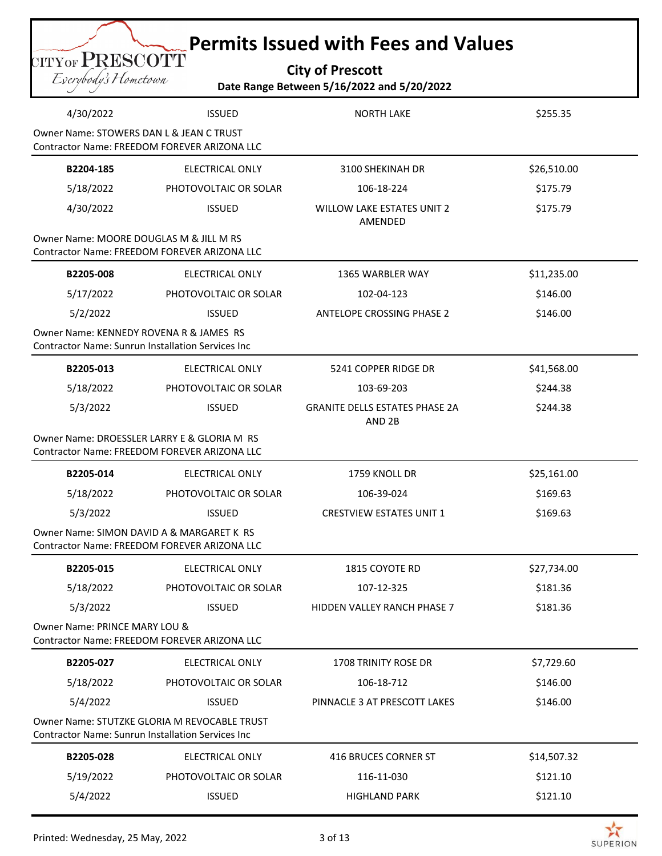| <b>City of Prescott</b>                    |  |
|--------------------------------------------|--|
| Date Range Between 5/16/2022 and 5/20/2022 |  |

|                                          | $\operatorname{CITYOF} \mathbf{PRESCOTT}$<br><b>City of Prescott</b><br>Eserybody's Hometown<br>Date Range Between 5/16/2022 and 5/20/2022 |                                                            |             |  |  |
|------------------------------------------|--------------------------------------------------------------------------------------------------------------------------------------------|------------------------------------------------------------|-------------|--|--|
| 4/30/2022                                | <b>ISSUED</b>                                                                                                                              | <b>NORTH LAKE</b>                                          | \$255.35    |  |  |
| Owner Name: STOWERS DAN L & JEAN C TRUST | Contractor Name: FREEDOM FOREVER ARIZONA LLC                                                                                               |                                                            |             |  |  |
| B2204-185                                | <b>ELECTRICAL ONLY</b>                                                                                                                     | 3100 SHEKINAH DR                                           | \$26,510.00 |  |  |
| 5/18/2022                                | PHOTOVOLTAIC OR SOLAR                                                                                                                      | 106-18-224                                                 | \$175.79    |  |  |
| 4/30/2022                                | <b>ISSUED</b>                                                                                                                              | <b>WILLOW LAKE ESTATES UNIT 2</b><br>AMENDED               | \$175.79    |  |  |
| Owner Name: MOORE DOUGLAS M & JILL M RS  | Contractor Name: FREEDOM FOREVER ARIZONA LLC                                                                                               |                                                            |             |  |  |
| B2205-008                                | <b>ELECTRICAL ONLY</b>                                                                                                                     | 1365 WARBLER WAY                                           | \$11,235.00 |  |  |
| 5/17/2022                                | PHOTOVOLTAIC OR SOLAR                                                                                                                      | 102-04-123                                                 | \$146.00    |  |  |
| 5/2/2022                                 | <b>ISSUED</b>                                                                                                                              | <b>ANTELOPE CROSSING PHASE 2</b>                           | \$146.00    |  |  |
| Owner Name: KENNEDY ROVENA R & JAMES RS  | <b>Contractor Name: Sunrun Installation Services Inc</b>                                                                                   |                                                            |             |  |  |
| B2205-013                                | <b>ELECTRICAL ONLY</b>                                                                                                                     | 5241 COPPER RIDGE DR                                       | \$41,568.00 |  |  |
| 5/18/2022                                | PHOTOVOLTAIC OR SOLAR                                                                                                                      | 103-69-203                                                 | \$244.38    |  |  |
| 5/3/2022                                 | <b>ISSUED</b>                                                                                                                              | <b>GRANITE DELLS ESTATES PHASE 2A</b><br>AND <sub>2B</sub> | \$244.38    |  |  |
|                                          | Owner Name: DROESSLER LARRY E & GLORIA M RS<br>Contractor Name: FREEDOM FOREVER ARIZONA LLC                                                |                                                            |             |  |  |
| B2205-014                                | <b>ELECTRICAL ONLY</b>                                                                                                                     | 1759 KNOLL DR                                              | \$25,161.00 |  |  |
| 5/18/2022                                |                                                                                                                                            |                                                            |             |  |  |
|                                          | PHOTOVOLTAIC OR SOLAR                                                                                                                      | 106-39-024                                                 | \$169.63    |  |  |
| 5/3/2022                                 | <b>ISSUED</b>                                                                                                                              | <b>CRESTVIEW ESTATES UNIT 1</b>                            | \$169.63    |  |  |
|                                          | Owner Name: SIMON DAVID A & MARGARET K RS<br>Contractor Name: FREEDOM FOREVER ARIZONA LLC                                                  |                                                            |             |  |  |
| B2205-015                                | <b>ELECTRICAL ONLY</b>                                                                                                                     | 1815 COYOTE RD                                             | \$27,734.00 |  |  |
| 5/18/2022                                | PHOTOVOLTAIC OR SOLAR                                                                                                                      | 107-12-325                                                 | \$181.36    |  |  |
| 5/3/2022                                 | <b>ISSUED</b>                                                                                                                              | HIDDEN VALLEY RANCH PHASE 7                                | \$181.36    |  |  |
| Owner Name: PRINCE MARY LOU &            | Contractor Name: FREEDOM FOREVER ARIZONA LLC                                                                                               |                                                            |             |  |  |
| B2205-027                                | <b>ELECTRICAL ONLY</b>                                                                                                                     | 1708 TRINITY ROSE DR                                       | \$7,729.60  |  |  |
| 5/18/2022                                | PHOTOVOLTAIC OR SOLAR                                                                                                                      | 106-18-712                                                 | \$146.00    |  |  |
| 5/4/2022                                 | <b>ISSUED</b>                                                                                                                              | PINNACLE 3 AT PRESCOTT LAKES                               | \$146.00    |  |  |
|                                          | Owner Name: STUTZKE GLORIA M REVOCABLE TRUST<br><b>Contractor Name: Sunrun Installation Services Inc.</b>                                  |                                                            |             |  |  |
| B2205-028                                | ELECTRICAL ONLY                                                                                                                            | 416 BRUCES CORNER ST                                       | \$14,507.32 |  |  |
| 5/19/2022                                | PHOTOVOLTAIC OR SOLAR                                                                                                                      | 116-11-030                                                 | \$121.10    |  |  |

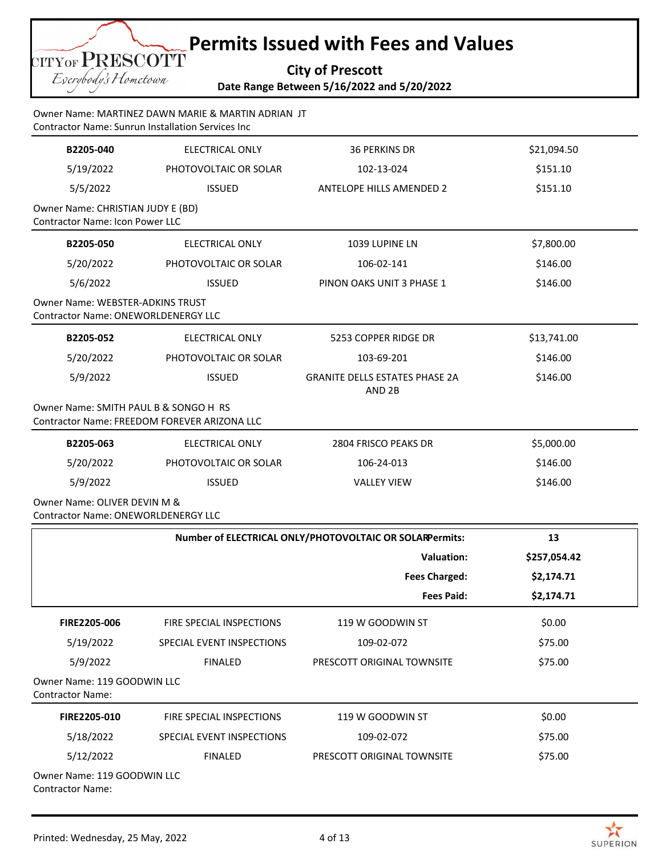**City of Prescott Date Range Between 5/16/2022 and 5/20/2022**

### Owner Name: MARTINEZ DAWN MARIE & MARTIN ADRIAN JT Contractor Name: Sunrun Installation Services Inc

CITYOF PRESCOTT Eserybody's Hometown

| B2205-040                                                                   | <b>ELECTRICAL ONLY</b>                       | <b>36 PERKINS DR</b>                                       | \$21,094.50  |
|-----------------------------------------------------------------------------|----------------------------------------------|------------------------------------------------------------|--------------|
| 5/19/2022                                                                   | PHOTOVOLTAIC OR SOLAR                        | 102-13-024                                                 | \$151.10     |
| 5/5/2022                                                                    | <b>ISSUED</b>                                | <b>ANTELOPE HILLS AMENDED 2</b>                            | \$151.10     |
| Owner Name: CHRISTIAN JUDY E (BD)<br><b>Contractor Name: Icon Power LLC</b> |                                              |                                                            |              |
| B2205-050                                                                   | <b>ELECTRICAL ONLY</b>                       | 1039 LUPINE LN                                             | \$7,800.00   |
| 5/20/2022                                                                   | PHOTOVOLTAIC OR SOLAR                        | 106-02-141                                                 | \$146.00     |
| 5/6/2022                                                                    | <b>ISSUED</b>                                | PINON OAKS UNIT 3 PHASE 1                                  | \$146.00     |
| Owner Name: WEBSTER-ADKINS TRUST<br>Contractor Name: ONEWORLDENERGY LLC     |                                              |                                                            |              |
| B2205-052                                                                   | <b>ELECTRICAL ONLY</b>                       | 5253 COPPER RIDGE DR                                       | \$13,741.00  |
| 5/20/2022                                                                   | PHOTOVOLTAIC OR SOLAR                        | 103-69-201                                                 | \$146.00     |
| 5/9/2022                                                                    | <b>ISSUED</b>                                | <b>GRANITE DELLS ESTATES PHASE 2A</b><br>AND <sub>2B</sub> | \$146.00     |
| Owner Name: SMITH PAUL B & SONGO H RS                                       | Contractor Name: FREEDOM FOREVER ARIZONA LLC |                                                            |              |
| B2205-063                                                                   | ELECTRICAL ONLY                              | 2804 FRISCO PEAKS DR                                       | \$5,000.00   |
| 5/20/2022                                                                   | PHOTOVOLTAIC OR SOLAR                        | 106-24-013                                                 | \$146.00     |
| 5/9/2022                                                                    | <b>ISSUED</b>                                | <b>VALLEY VIEW</b>                                         | \$146.00     |
| Owner Name: OLIVER DEVIN M &<br>Contractor Name: ONEWORLDENERGY LLC         |                                              |                                                            |              |
|                                                                             |                                              | Number of ELECTRICAL ONLY/PHOTOVOLTAIC OR SOLARPermits:    | 13           |
|                                                                             |                                              | <b>Valuation:</b>                                          | \$257,054.42 |
|                                                                             |                                              | <b>Fees Charged:</b>                                       | \$2,174.71   |
|                                                                             |                                              | <b>Fees Paid:</b>                                          | \$2,174.71   |
| FIRE2205-006                                                                | FIRE SPECIAL INSPECTIONS                     | 119 W GOODWIN ST                                           | \$0.00       |
| 5/19/2022                                                                   | SPECIAL EVENT INSPECTIONS                    | 109-02-072                                                 | \$75.00      |
| 5/9/2022                                                                    | <b>FINALED</b>                               | PRESCOTT ORIGINAL TOWNSITE                                 | \$75.00      |
| Owner Name: 119 GOODWIN LLC<br><b>Contractor Name:</b>                      |                                              |                                                            |              |
| FIRE2205-010                                                                | FIRE SPECIAL INSPECTIONS                     | 119 W GOODWIN ST                                           | \$0.00       |
| 5/18/2022                                                                   | SPECIAL EVENT INSPECTIONS                    | 109-02-072                                                 | \$75.00      |
| 5/12/2022                                                                   | <b>FINALED</b>                               | PRESCOTT ORIGINAL TOWNSITE                                 | \$75.00      |
| Owner Name: 119 GOODWIN LLC<br><b>Contractor Name:</b>                      |                                              |                                                            |              |

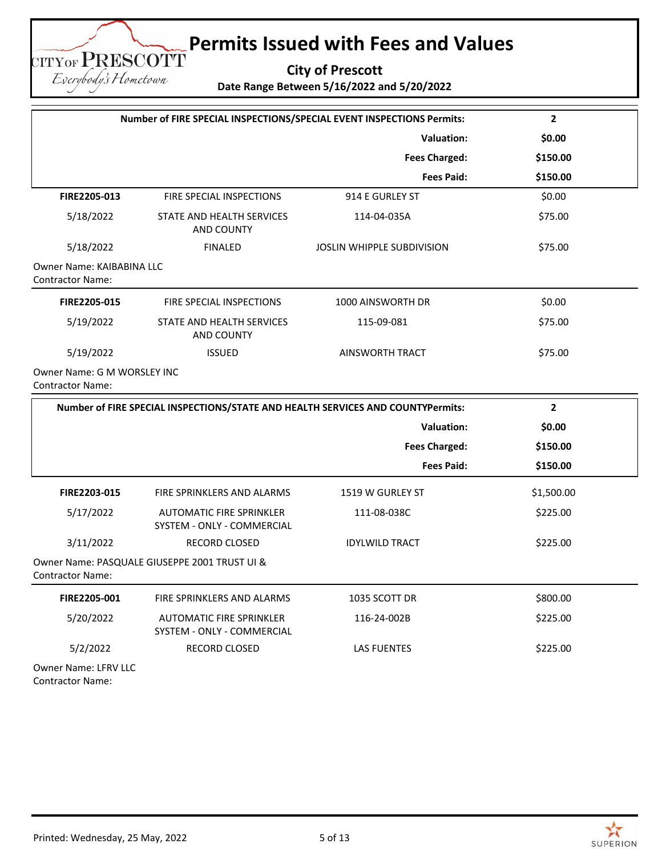**City of Prescott Date Range Between 5/16/2022 and 5/20/2022**

**Number of FIRE SPECIAL INSPECTIONS/SPECIAL EVENT INSPECTIONS Permits: 2 Valuation: \$0.00 Fees Charged: \$150.00 Fees Paid: \$150.00 FIRE2205-013** FIRE SPECIAL INSPECTIONS 914 E GURLEY ST \$0.00 5/18/2022 STATE AND HEALTH SERVICES AND COUNTY 114-04-035A \$75.00 5/18/2022 FINALED JOSLIN WHIPPLE SUBDIVISION \$75.00 Owner Name: KAIBABINA LLC Contractor Name: **FIRE2205-015** FIRE SPECIAL INSPECTIONS 1000 AINSWORTH DR \$0.00 5/19/2022 STATE AND HEALTH SERVICES AND COUNTY 115-09-081 \$75.00 5/19/2022 ISSUED AINSWORTH TRACT \$75.00 Owner Name: G M WORSLEY INC Contractor Name: **Number of FIRE SPECIAL INSPECTIONS/STATE AND HEALTH SERVICES AND COUNTYPermits:** 2  **Valuation: \$0.00 Fees Charged: \$150.00 Fees Paid: \$150.00**

| FIRE2203-015                | FIRE SPRINKLERS AND ALARMS                             | 1519 W GURLEY ST      | \$1,500.00 |
|-----------------------------|--------------------------------------------------------|-----------------------|------------|
| 5/17/2022                   | AUTOMATIC FIRE SPRINKLER<br>SYSTEM - ONLY - COMMERCIAL | 111-08-038C           | \$225.00   |
| 3/11/2022                   | <b>RECORD CLOSED</b>                                   | <b>IDYLWILD TRACT</b> | \$225.00   |
| <b>Contractor Name:</b>     | Owner Name: PASQUALE GIUSEPPE 2001 TRUST UI &          |                       |            |
| FIRE2205-001                | FIRE SPRINKLERS AND ALARMS                             | 1035 SCOTT DR         | \$800.00   |
| 5/20/2022                   | AUTOMATIC FIRE SPRINKLER<br>SYSTEM - ONLY - COMMERCIAL | 116-24-002B           | \$225.00   |
| 5/2/2022                    | <b>RECORD CLOSED</b>                                   | <b>LAS FUENTES</b>    | \$225.00   |
| <b>Owner Name: LFRV LLC</b> |                                                        |                       |            |

Contractor Name:

**TITYOF PRESCOTT** Eserybody's Hometown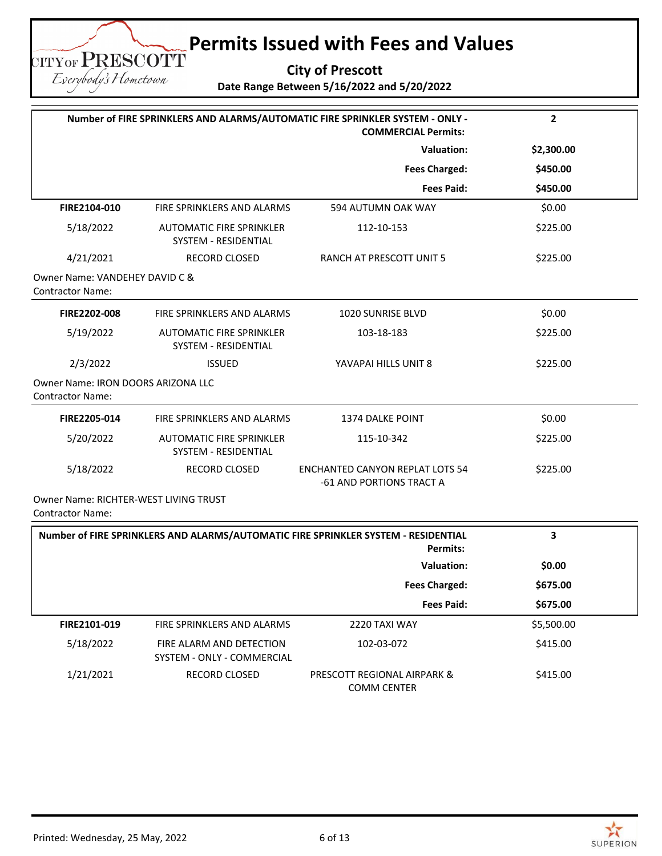**City of Prescott**

**Date Range Between 5/16/2022 and 5/20/2022**

|                                                                  | Number of FIRE SPRINKLERS AND ALARMS/AUTOMATIC FIRE SPRINKLER SYSTEM - ONLY -<br><b>COMMERCIAL Permits:</b> |                                                                                                       | $\mathbf{2}$ |
|------------------------------------------------------------------|-------------------------------------------------------------------------------------------------------------|-------------------------------------------------------------------------------------------------------|--------------|
|                                                                  | <b>Valuation:</b>                                                                                           |                                                                                                       | \$2,300.00   |
|                                                                  |                                                                                                             | <b>Fees Charged:</b>                                                                                  | \$450.00     |
|                                                                  |                                                                                                             | <b>Fees Paid:</b>                                                                                     | \$450.00     |
| FIRE2104-010                                                     | FIRE SPRINKLERS AND ALARMS                                                                                  | 594 AUTUMN OAK WAY                                                                                    | \$0.00       |
| 5/18/2022                                                        | <b>AUTOMATIC FIRE SPRINKLER</b><br>SYSTEM - RESIDENTIAL                                                     | 112-10-153                                                                                            | \$225.00     |
| 4/21/2021                                                        | RECORD CLOSED                                                                                               | RANCH AT PRESCOTT UNIT 5                                                                              | \$225.00     |
| Owner Name: VANDEHEY DAVID C &<br><b>Contractor Name:</b>        |                                                                                                             |                                                                                                       |              |
| FIRE2202-008                                                     | FIRE SPRINKLERS AND ALARMS                                                                                  | 1020 SUNRISE BLVD                                                                                     | \$0.00       |
| 5/19/2022                                                        | <b>AUTOMATIC FIRE SPRINKLER</b><br>SYSTEM - RESIDENTIAL                                                     | 103-18-183                                                                                            | \$225.00     |
| 2/3/2022                                                         | <b>ISSUED</b>                                                                                               | YAVAPAI HILLS UNIT 8                                                                                  | \$225.00     |
| Owner Name: IRON DOORS ARIZONA LLC<br><b>Contractor Name:</b>    |                                                                                                             |                                                                                                       |              |
| FIRE2205-014                                                     | FIRE SPRINKLERS AND ALARMS                                                                                  | <b>1374 DALKE POINT</b>                                                                               | \$0.00       |
| 5/20/2022                                                        | <b>AUTOMATIC FIRE SPRINKLER</b><br>SYSTEM - RESIDENTIAL                                                     | 115-10-342                                                                                            | \$225.00     |
| 5/18/2022                                                        | RECORD CLOSED                                                                                               | <b>ENCHANTED CANYON REPLAT LOTS 54</b><br>-61 AND PORTIONS TRACT A                                    | \$225.00     |
| Owner Name: RICHTER-WEST LIVING TRUST<br><b>Contractor Name:</b> |                                                                                                             |                                                                                                       |              |
|                                                                  |                                                                                                             | Number of FIRE SPRINKLERS AND ALARMS/AUTOMATIC FIRE SPRINKLER SYSTEM - RESIDENTIAL<br><b>Permits:</b> | 3            |
|                                                                  |                                                                                                             | <b>Valuation:</b>                                                                                     | \$0.00       |
|                                                                  |                                                                                                             | <b>Fees Charged:</b>                                                                                  | \$675.00     |
|                                                                  |                                                                                                             | <b>Fees Paid:</b>                                                                                     | \$675.00     |
| FIRE2101-019                                                     | FIRE SPRINKLERS AND ALARMS                                                                                  | 2220 TAXI WAY                                                                                         | \$5,500.00   |
| 5/18/2022                                                        | FIRE ALARM AND DETECTION<br>SYSTEM - ONLY - COMMERCIAL                                                      | 102-03-072                                                                                            | \$415.00     |
| 1/21/2021                                                        | RECORD CLOSED                                                                                               | PRESCOTT REGIONAL AIRPARK &                                                                           | \$415.00     |

 $\geq$ **SUPERION** 

**TITYOF PRESCOTT** Eserybody's Hometown

COMM CENTER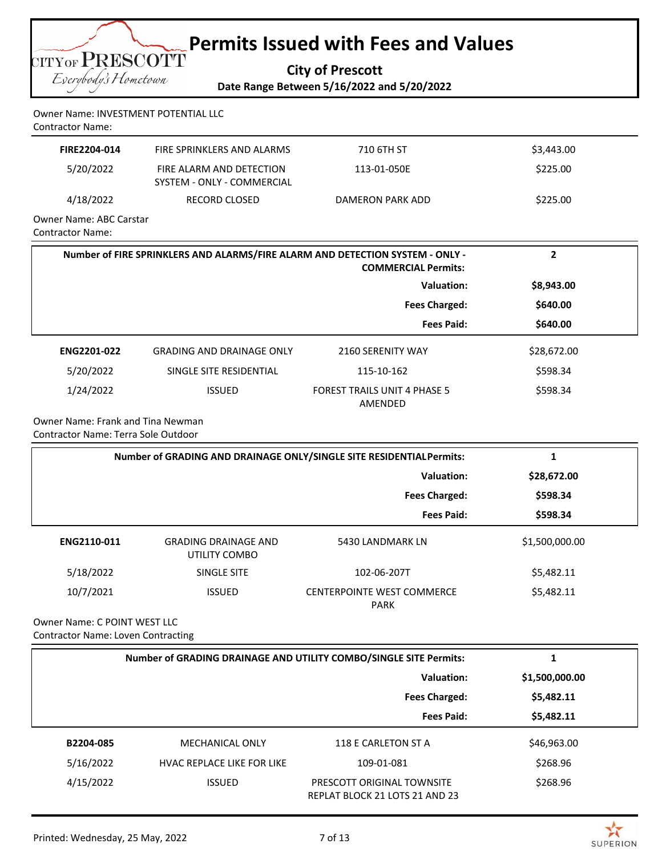

Owner Name: INVESTMENT POTENTIAL LLC Contractor Name:

| FIRE2204-014            | FIRE SPRINKLERS AND ALARMS                             | 710 6TH ST       | \$3,443.00 |
|-------------------------|--------------------------------------------------------|------------------|------------|
| 5/20/2022               | FIRE ALARM AND DETECTION<br>SYSTEM - ONLY - COMMERCIAL | 113-01-050E      | \$225.00   |
| 4/18/2022               | RECORD CLOSED                                          | DAMERON PARK ADD | \$225.00   |
| Owner Name: ABC Carstar |                                                        |                  |            |

Contractor Name:

| Number of FIRE SPRINKLERS AND ALARMS/FIRE ALARM AND DETECTION SYSTEM - ONLY -<br><b>COMMERCIAL Permits:</b> |                                  | 2                                              |             |
|-------------------------------------------------------------------------------------------------------------|----------------------------------|------------------------------------------------|-------------|
|                                                                                                             |                                  | Valuation:                                     | \$8,943.00  |
|                                                                                                             |                                  | <b>Fees Charged:</b>                           | \$640.00    |
|                                                                                                             |                                  | <b>Fees Paid:</b>                              | \$640.00    |
| <b>ENG2201-022</b>                                                                                          | <b>GRADING AND DRAINAGE ONLY</b> | 2160 SERENITY WAY                              | \$28,672.00 |
| 5/20/2022                                                                                                   | SINGLE SITE RESIDENTIAL          | 115-10-162                                     | \$598.34    |
| 1/24/2022                                                                                                   | <b>ISSUED</b>                    | <b>FOREST TRAILS UNIT 4 PHASE 5</b><br>AMENDED | \$598.34    |

Owner Name: Frank and Tina Newman Contractor Name: Terra Sole Outdoor

| Number of GRADING AND DRAINAGE ONLY/SINGLE SITE RESIDENTIAL Permits: |                                              |                                                  |                |
|----------------------------------------------------------------------|----------------------------------------------|--------------------------------------------------|----------------|
|                                                                      | Valuation:<br><b>Fees Charged:</b>           |                                                  | \$28,672.00    |
|                                                                      |                                              |                                                  | \$598.34       |
|                                                                      |                                              | <b>Fees Paid:</b>                                | \$598.34       |
| ENG2110-011                                                          | <b>GRADING DRAINAGE AND</b><br>UTILITY COMBO | 5430 LANDMARK LN                                 | \$1,500,000.00 |
| 5/18/2022                                                            | SINGLE SITE                                  | 102-06-207T                                      | \$5,482.11     |
| 10/7/2021                                                            | <b>ISSUED</b>                                | <b>CENTERPOINTE WEST COMMERCE</b><br><b>PARK</b> | \$5,482.11     |

Owner Name: C POINT WEST LLC Contractor Name: Loven Contracting

|           | Number of GRADING DRAINAGE AND UTILITY COMBO/SINGLE SITE Permits: |                                                              |                |
|-----------|-------------------------------------------------------------------|--------------------------------------------------------------|----------------|
|           |                                                                   | Valuation:                                                   | \$1,500,000.00 |
|           |                                                                   | <b>Fees Charged:</b>                                         | \$5,482.11     |
|           |                                                                   | <b>Fees Paid:</b>                                            | \$5,482.11     |
| B2204-085 | <b>MECHANICAL ONLY</b>                                            | 118 E CARLETON ST A                                          | \$46,963.00    |
| 5/16/2022 | <b>HVAC REPLACE LIKE FOR LIKE</b>                                 | 109-01-081                                                   | \$268.96       |
| 4/15/2022 | <b>ISSUED</b>                                                     | PRESCOTT ORIGINAL TOWNSITE<br>REPLAT BLOCK 21 LOTS 21 AND 23 | \$268.96       |

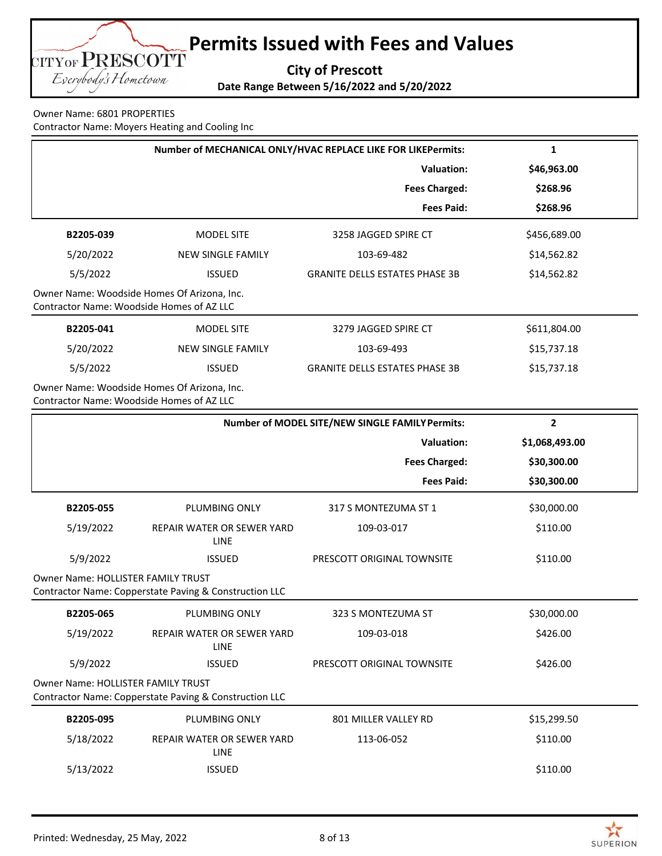

Owner Name: 6801 PROPERTIES Contractor Name: Moyers Heating and Cooling Inc

| Number of MECHANICAL ONLY/HVAC REPLACE LIKE FOR LIKEPermits: |                                                        |                                                 | 1              |
|--------------------------------------------------------------|--------------------------------------------------------|-------------------------------------------------|----------------|
|                                                              |                                                        | <b>Valuation:</b>                               | \$46,963.00    |
|                                                              |                                                        | <b>Fees Charged:</b>                            | \$268.96       |
|                                                              |                                                        | <b>Fees Paid:</b>                               | \$268.96       |
| B2205-039                                                    | <b>MODEL SITE</b>                                      | 3258 JAGGED SPIRE CT                            | \$456,689.00   |
| 5/20/2022                                                    | <b>NEW SINGLE FAMILY</b>                               | 103-69-482                                      | \$14,562.82    |
| 5/5/2022                                                     | <b>ISSUED</b>                                          | <b>GRANITE DELLS ESTATES PHASE 3B</b>           | \$14,562.82    |
| Contractor Name: Woodside Homes of AZ LLC                    | Owner Name: Woodside Homes Of Arizona, Inc.            |                                                 |                |
| B2205-041                                                    | <b>MODEL SITE</b>                                      | 3279 JAGGED SPIRE CT                            | \$611,804.00   |
| 5/20/2022                                                    | <b>NEW SINGLE FAMILY</b>                               | 103-69-493                                      | \$15,737.18    |
| 5/5/2022                                                     | <b>ISSUED</b>                                          | <b>GRANITE DELLS ESTATES PHASE 3B</b>           | \$15,737.18    |
| Contractor Name: Woodside Homes of AZ LLC                    | Owner Name: Woodside Homes Of Arizona, Inc.            |                                                 |                |
|                                                              |                                                        | Number of MODEL SITE/NEW SINGLE FAMILY Permits: | $\overline{2}$ |
|                                                              |                                                        | <b>Valuation:</b>                               | \$1,068,493.00 |
|                                                              |                                                        | <b>Fees Charged:</b>                            | \$30,300.00    |
|                                                              |                                                        | <b>Fees Paid:</b>                               | \$30,300.00    |
| B2205-055                                                    | PLUMBING ONLY                                          | 317 S MONTEZUMA ST 1                            | \$30,000.00    |
| 5/19/2022                                                    | REPAIR WATER OR SEWER YARD<br><b>LINE</b>              | 109-03-017                                      | \$110.00       |
| 5/9/2022                                                     | <b>ISSUED</b>                                          | PRESCOTT ORIGINAL TOWNSITE                      | \$110.00       |
| <b>Owner Name: HOLLISTER FAMILY TRUST</b>                    | Contractor Name: Copperstate Paving & Construction LLC |                                                 |                |
| B2205-065                                                    | PLUMBING ONLY                                          | 323 S MONTEZUMA ST                              | \$30,000.00    |
| 5/19/2022                                                    | REPAIR WATER OR SEWER YARD<br><b>LINE</b>              | 109-03-018                                      | \$426.00       |
| 5/9/2022                                                     | <b>ISSUED</b>                                          | PRESCOTT ORIGINAL TOWNSITE                      | \$426.00       |
| Owner Name: HOLLISTER FAMILY TRUST                           | Contractor Name: Copperstate Paving & Construction LLC |                                                 |                |
| B2205-095                                                    | PLUMBING ONLY                                          | 801 MILLER VALLEY RD                            | \$15,299.50    |
| 5/18/2022                                                    | REPAIR WATER OR SEWER YARD<br><b>LINE</b>              | 113-06-052                                      | \$110.00       |
| 5/13/2022                                                    | <b>ISSUED</b>                                          |                                                 | \$110.00       |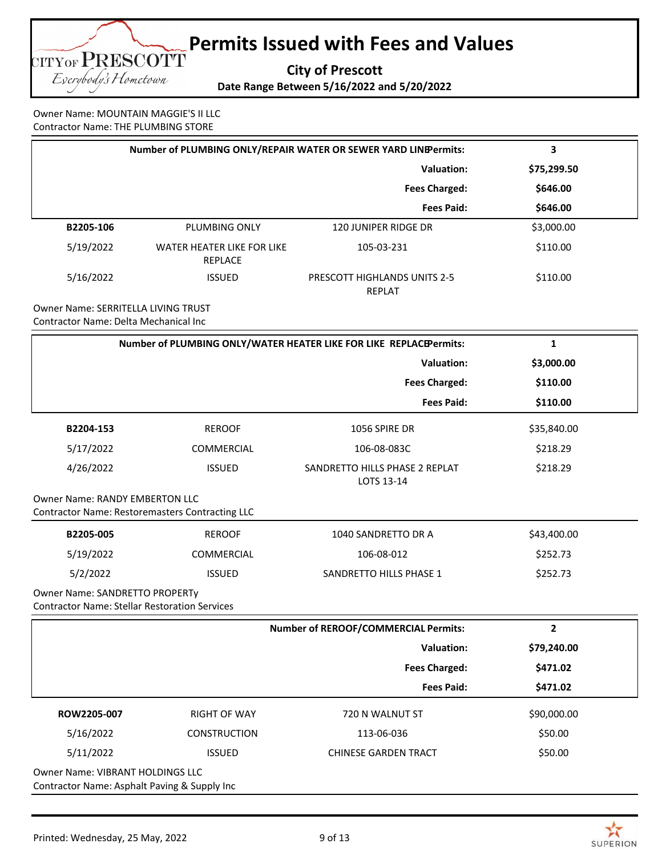

Owner Name: MOUNTAIN MAGGIE'S II LLC Contractor Name: THE PLUMBING STORE

| Number of PLUMBING ONLY/REPAIR WATER OR SEWER YARD LINEPermits: |                                              | 3                                                                  |             |
|-----------------------------------------------------------------|----------------------------------------------|--------------------------------------------------------------------|-------------|
|                                                                 |                                              | <b>Valuation:</b>                                                  | \$75,299.50 |
|                                                                 |                                              | <b>Fees Charged:</b>                                               | \$646.00    |
|                                                                 |                                              | <b>Fees Paid:</b>                                                  | \$646.00    |
| B2205-106                                                       | PLUMBING ONLY                                | 120 JUNIPER RIDGE DR                                               | \$3,000.00  |
| 5/19/2022                                                       | <b>WATER HEATER LIKE FOR LIKE</b><br>REPLACE | 105-03-231                                                         | \$110.00    |
| 5/16/2022                                                       | <b>ISSUED</b>                                | <b>PRESCOTT HIGHLANDS UNITS 2-5</b><br><b>REPLAT</b>               | \$110.00    |
| Owner Name: SERRITELLA LIVING TRUST                             |                                              |                                                                    |             |
| Contractor Name: Delta Mechanical Inc                           |                                              |                                                                    |             |
|                                                                 |                                              | Number of PLUMBING ONLY/WATER HEATER LIKE FOR LIKE REPLACEPermits: | 1           |
|                                                                 |                                              | .                                                                  |             |

|                                                                                                 |                   | <b>Valuation:</b><br><b>Fees Charged:</b><br><b>Fees Paid:</b> | \$3,000.00<br>\$110.00<br>\$110.00 |
|-------------------------------------------------------------------------------------------------|-------------------|----------------------------------------------------------------|------------------------------------|
| B2204-153                                                                                       | <b>REROOF</b>     | 1056 SPIRE DR                                                  | \$35,840.00                        |
| 5/17/2022                                                                                       | <b>COMMERCIAL</b> | 106-08-083C                                                    | \$218.29                           |
| 4/26/2022                                                                                       | <b>ISSUED</b>     | SANDRETTO HILLS PHASE 2 REPLAT<br>LOTS 13-14                   | \$218.29                           |
| <b>Owner Name: RANDY EMBERTON LLC</b><br><b>Contractor Name: Restoremasters Contracting LLC</b> |                   |                                                                |                                    |
| B2205-005                                                                                       | <b>REROOF</b>     | 1040 SANDRETTO DR A                                            | \$43,400.00                        |
| 5/19/2022                                                                                       | COMMERCIAL        | 106-08-012                                                     | \$252.73                           |
| 5/2/2022                                                                                        | <b>ISSUED</b>     | SANDRETTO HILLS PHASE 1                                        | \$252.73                           |
| Owner Name: SANDRETTO PROPERTy<br><b>Contractor Name: Stellar Restoration Services</b>          |                   |                                                                |                                    |
|                                                                                                 |                   | <b>Number of REROOF/COMMERCIAL Permits:</b>                    | $\mathbf{2}$                       |

|                                                                                         |                     | <b>INDITION OF RENOUT/CONTINENCIAL FEITING.</b> |                         |  |
|-----------------------------------------------------------------------------------------|---------------------|-------------------------------------------------|-------------------------|--|
|                                                                                         |                     | <b>Valuation:</b>                               | \$79,240.00<br>\$471.02 |  |
|                                                                                         |                     | <b>Fees Charged:</b>                            |                         |  |
|                                                                                         |                     | <b>Fees Paid:</b>                               | \$471.02                |  |
| ROW2205-007                                                                             | <b>RIGHT OF WAY</b> | 720 N WALNUT ST                                 | \$90,000.00             |  |
| 5/16/2022                                                                               | <b>CONSTRUCTION</b> | 113-06-036                                      | \$50.00                 |  |
| 5/11/2022                                                                               | <b>ISSUED</b>       | <b>CHINESE GARDEN TRACT</b>                     | \$50.00                 |  |
| <b>Owner Name: VIBRANT HOLDINGS LLC</b><br>Contractor Name: Asphalt Paving & Supply Inc |                     |                                                 |                         |  |

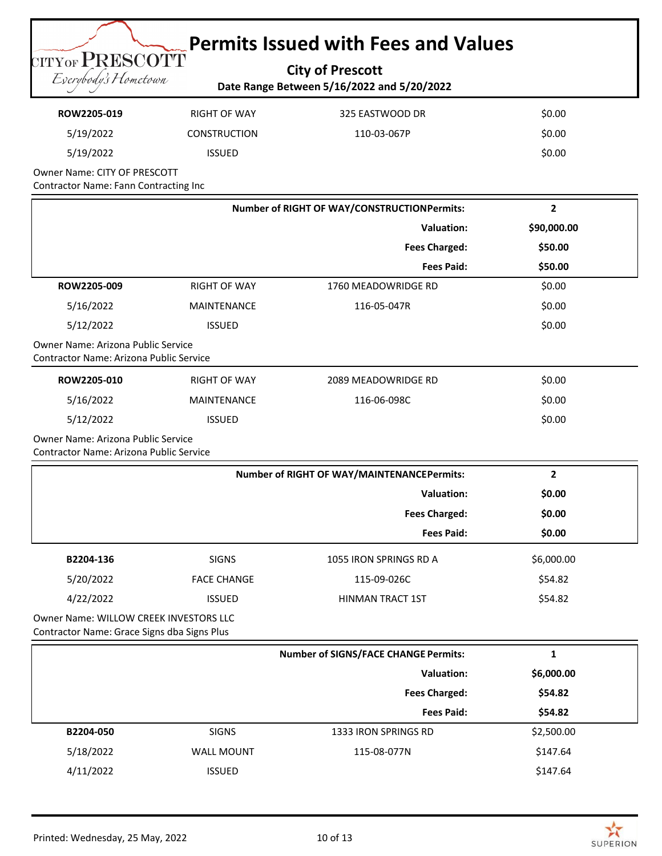**City of Prescott Date Range Between 5/16/2022 and 5/20/2022**

| ROW2205-019 | RIGHT OF WAY        | 325 EASTWOOD DR | \$0.00 |
|-------------|---------------------|-----------------|--------|
| 5/19/2022   | <b>CONSTRUCTION</b> | 110-03-067P     | \$0.00 |
| 5/19/2022   | <b>ISSUED</b>       |                 | \$0.00 |

Owner Name: CITY OF PRESCOTT Contractor Name: Fann Contracting Inc

CITYOF PRESCOTT Eserybody's Hometown

| Number of RIGHT OF WAY/CONSTRUCTIONPermits:                                           |                     | $\overline{2}$                                    |                |
|---------------------------------------------------------------------------------------|---------------------|---------------------------------------------------|----------------|
|                                                                                       |                     | <b>Valuation:</b>                                 | \$90,000.00    |
|                                                                                       |                     | <b>Fees Charged:</b>                              | \$50.00        |
|                                                                                       |                     | <b>Fees Paid:</b>                                 | \$50.00        |
| ROW2205-009                                                                           | <b>RIGHT OF WAY</b> | 1760 MEADOWRIDGE RD                               | \$0.00         |
| 5/16/2022                                                                             | MAINTENANCE         | 116-05-047R                                       | \$0.00         |
| 5/12/2022                                                                             | <b>ISSUED</b>       |                                                   | \$0.00         |
| Owner Name: Arizona Public Service<br>Contractor Name: Arizona Public Service         |                     |                                                   |                |
| ROW2205-010                                                                           | <b>RIGHT OF WAY</b> | 2089 MEADOWRIDGE RD                               | \$0.00         |
| 5/16/2022                                                                             | <b>MAINTENANCE</b>  | 116-06-098C                                       | \$0.00         |
| 5/12/2022                                                                             | <b>ISSUED</b>       |                                                   | \$0.00         |
| Owner Name: Arizona Public Service<br>Contractor Name: Arizona Public Service         |                     |                                                   |                |
|                                                                                       |                     | <b>Number of RIGHT OF WAY/MAINTENANCEPermits:</b> | $\overline{2}$ |
|                                                                                       |                     | <b>Valuation:</b>                                 | \$0.00         |
|                                                                                       |                     | <b>Fees Charged:</b>                              | \$0.00         |
|                                                                                       |                     | <b>Fees Paid:</b>                                 | \$0.00         |
| B2204-136                                                                             | <b>SIGNS</b>        | 1055 IRON SPRINGS RD A                            | \$6,000.00     |
| 5/20/2022                                                                             | <b>FACE CHANGE</b>  | 115-09-026C                                       | \$54.82        |
| 4/22/2022                                                                             | <b>ISSUED</b>       | <b>HINMAN TRACT 1ST</b>                           | \$54.82        |
| Owner Name: WILLOW CREEK INVESTORS LLC<br>Contractor Name: Grace Signs dba Signs Plus |                     |                                                   |                |
|                                                                                       |                     | <b>Number of SIGNS/FACE CHANGE Permits:</b>       | $\mathbf{1}$   |
|                                                                                       |                     | <b>Valuation:</b>                                 | \$6,000.00     |
|                                                                                       |                     | <b>Fees Charged:</b>                              | \$54.82        |

 **Fees Paid: \$54.82 B2204-050** SIGNS SIGNS 1333 IRON SPRINGS RD \$2,500.00 5/18/2022 WALL MOUNT 115-08-077N \$147.64 4/11/2022 SSUED SALE SSUED SALE SSUED SALE SSUED SALE SSUED

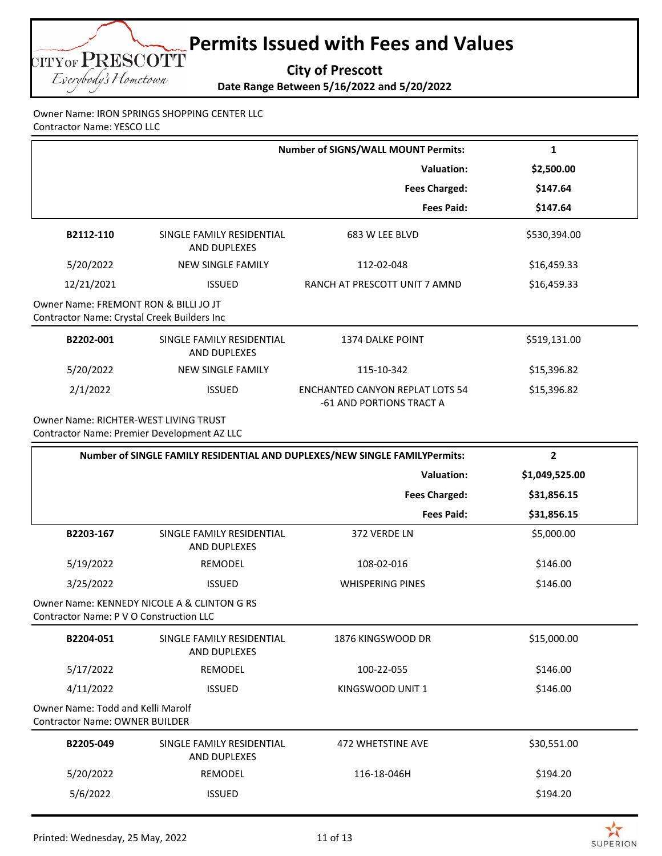**City of Prescott**

**Date Range Between 5/16/2022 and 5/20/2022**

Owner Name: IRON SPRINGS SHOPPING CENTER LLC Contractor Name: YESCO LLC

CITYOF PRESCOTT Eserybody's Hometown

|                                                                                      |                                                  | <b>Number of SIGNS/WALL MOUNT Permits:</b>                                 | 1              |
|--------------------------------------------------------------------------------------|--------------------------------------------------|----------------------------------------------------------------------------|----------------|
|                                                                                      |                                                  | <b>Valuation:</b>                                                          | \$2,500.00     |
|                                                                                      |                                                  | <b>Fees Charged:</b>                                                       | \$147.64       |
|                                                                                      |                                                  | <b>Fees Paid:</b>                                                          | \$147.64       |
| B2112-110                                                                            | SINGLE FAMILY RESIDENTIAL<br>AND DUPLEXES        | 683 W LEE BLVD                                                             | \$530,394.00   |
| 5/20/2022                                                                            | <b>NEW SINGLE FAMILY</b>                         | 112-02-048                                                                 | \$16,459.33    |
| 12/21/2021                                                                           | <b>ISSUED</b>                                    | RANCH AT PRESCOTT UNIT 7 AMND                                              | \$16,459.33    |
| Owner Name: FREMONT RON & BILLI JO JT<br>Contractor Name: Crystal Creek Builders Inc |                                                  |                                                                            |                |
| B2202-001                                                                            | SINGLE FAMILY RESIDENTIAL<br>AND DUPLEXES        | <b>1374 DALKE POINT</b>                                                    | \$519,131.00   |
| 5/20/2022                                                                            | <b>NEW SINGLE FAMILY</b>                         | 115-10-342                                                                 | \$15,396.82    |
| 2/1/2022                                                                             | <b>ISSUED</b>                                    | <b>ENCHANTED CANYON REPLAT LOTS 54</b><br>-61 AND PORTIONS TRACT A         | \$15,396.82    |
| Owner Name: RICHTER-WEST LIVING TRUST                                                |                                                  |                                                                            |                |
|                                                                                      | Contractor Name: Premier Development AZ LLC      |                                                                            |                |
|                                                                                      |                                                  | Number of SINGLE FAMILY RESIDENTIAL AND DUPLEXES/NEW SINGLE FAMILYPermits: | $\overline{2}$ |
|                                                                                      |                                                  | <b>Valuation:</b>                                                          | \$1,049,525.00 |
|                                                                                      |                                                  | <b>Fees Charged:</b>                                                       | \$31,856.15    |
|                                                                                      |                                                  | <b>Fees Paid:</b>                                                          | \$31,856.15    |
| B2203-167                                                                            | SINGLE FAMILY RESIDENTIAL<br>AND DUPLEXES        | 372 VERDE LN                                                               | \$5,000.00     |
| 5/19/2022                                                                            | REMODEL                                          | 108-02-016                                                                 | \$146.00       |
| 3/25/2022                                                                            | <b>ISSUED</b>                                    | <b>WHISPERING PINES</b>                                                    | \$146.00       |
| Contractor Name: P V O Construction LLC                                              | Owner Name: KENNEDY NICOLE A & CLINTON G RS      |                                                                            |                |
| B2204-051                                                                            | SINGLE FAMILY RESIDENTIAL<br><b>AND DUPLEXES</b> | 1876 KINGSWOOD DR                                                          | \$15,000.00    |
| 5/17/2022                                                                            | REMODEL                                          | 100-22-055                                                                 | \$146.00       |
| 4/11/2022                                                                            | <b>ISSUED</b>                                    | KINGSWOOD UNIT 1                                                           | \$146.00       |

| B2205-049 | SINGLE FAMILY RESIDENTIAL<br>AND DUPLEXES | 472 WHETSTINE AVE | \$30,551.00 |
|-----------|-------------------------------------------|-------------------|-------------|
| 5/20/2022 | REMODEL                                   | 116-18-046H       | \$194.20    |
| 5/6/2022  | <b>ISSUED</b>                             |                   | \$194.20    |

 $\geq$ **SUPERION**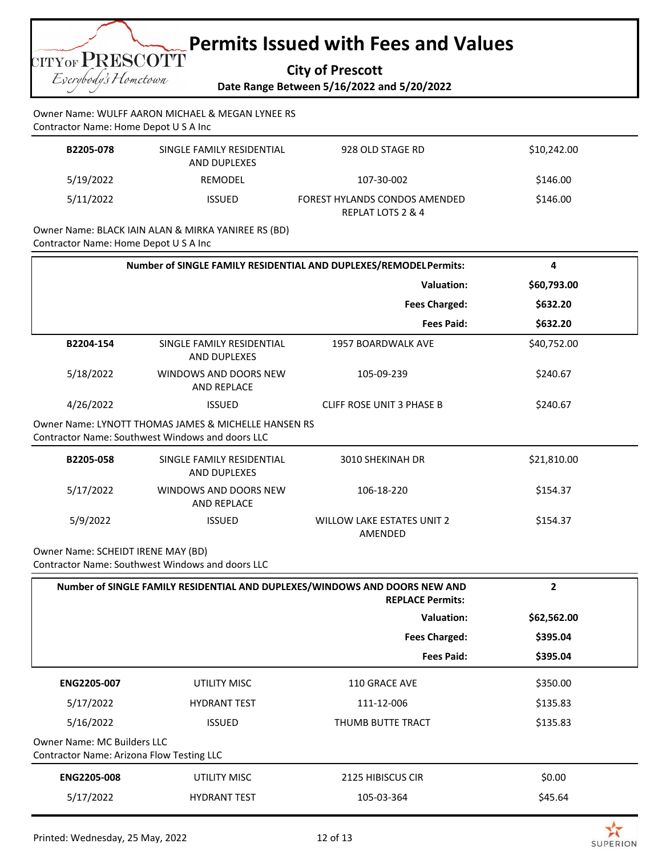**City of Prescott**

Eserybody's Hometown

CITYOF PRESCOTT

**Date Range Between 5/16/2022 and 5/20/2022**

Owner Name: WULFF AARON MICHAEL & MEGAN LYNEE RS Contractor Name: Home Depot U S A Inc

| B2205-078 | SINGLE FAMILY RESIDENTIAL<br>AND DUPLEXES | 928 OLD STAGE RD                                   | \$10,242.00 |
|-----------|-------------------------------------------|----------------------------------------------------|-------------|
| 5/19/2022 | REMODEL                                   | 107-30-002                                         | \$146.00    |
| 5/11/2022 | <b>ISSUED</b>                             | FOREST HYLANDS CONDOS AMENDED<br>REPLAT LOTS 2 & 4 | \$146.00    |

Owner Name: BLACK IAIN ALAN & MIRKA YANIREE RS (BD) Contractor Name: Home Depot U S A Inc

| Number of SINGLE FAMILY RESIDENTIAL AND DUPLEXES/REMODELPermits:                |                                                                                                          |                                                                                                       | 4              |
|---------------------------------------------------------------------------------|----------------------------------------------------------------------------------------------------------|-------------------------------------------------------------------------------------------------------|----------------|
| <b>Valuation:</b>                                                               |                                                                                                          |                                                                                                       | \$60,793.00    |
|                                                                                 |                                                                                                          | <b>Fees Charged:</b>                                                                                  | \$632.20       |
|                                                                                 |                                                                                                          | <b>Fees Paid:</b>                                                                                     | \$632.20       |
| B2204-154                                                                       | SINGLE FAMILY RESIDENTIAL<br><b>AND DUPLEXES</b>                                                         | <b>1957 BOARDWALK AVE</b>                                                                             | \$40,752.00    |
| 5/18/2022                                                                       | WINDOWS AND DOORS NEW<br>AND REPLACE                                                                     | 105-09-239                                                                                            | \$240.67       |
| 4/26/2022                                                                       | <b>ISSUED</b>                                                                                            | <b>CLIFF ROSE UNIT 3 PHASE B</b>                                                                      | \$240.67       |
|                                                                                 | Owner Name: LYNOTT THOMAS JAMES & MICHELLE HANSEN RS<br>Contractor Name: Southwest Windows and doors LLC |                                                                                                       |                |
| B2205-058                                                                       | SINGLE FAMILY RESIDENTIAL<br>AND DUPLEXES                                                                | 3010 SHEKINAH DR                                                                                      | \$21,810.00    |
| 5/17/2022                                                                       | WINDOWS AND DOORS NEW<br><b>AND REPLACE</b>                                                              | 106-18-220                                                                                            | \$154.37       |
| 5/9/2022                                                                        | <b>ISSUED</b>                                                                                            | <b>WILLOW LAKE ESTATES UNIT 2</b><br>AMENDED                                                          | \$154.37       |
| Owner Name: SCHEIDT IRENE MAY (BD)                                              | Contractor Name: Southwest Windows and doors LLC                                                         |                                                                                                       |                |
|                                                                                 |                                                                                                          | Number of SINGLE FAMILY RESIDENTIAL AND DUPLEXES/WINDOWS AND DOORS NEW AND<br><b>REPLACE Permits:</b> | $\overline{2}$ |
|                                                                                 |                                                                                                          | <b>Valuation:</b>                                                                                     | \$62,562.00    |
|                                                                                 |                                                                                                          | <b>Fees Charged:</b>                                                                                  | \$395.04       |
|                                                                                 |                                                                                                          | <b>Fees Paid:</b>                                                                                     | \$395.04       |
| ENG2205-007                                                                     | <b>UTILITY MISC</b>                                                                                      | 110 GRACE AVE                                                                                         | \$350.00       |
| 5/17/2022                                                                       | <b>HYDRANT TEST</b>                                                                                      | 111-12-006                                                                                            | \$135.83       |
| 5/16/2022                                                                       | <b>ISSUED</b>                                                                                            | THUMB BUTTE TRACT                                                                                     | \$135.83       |
| <b>Owner Name: MC Builders LLC</b><br>Contractor Name: Arizona Flow Testing LLC |                                                                                                          |                                                                                                       |                |
| <b>ENG2205-008</b>                                                              | <b>UTILITY MISC</b>                                                                                      | 2125 HIBISCUS CIR                                                                                     | \$0.00         |
| 5/17/2022                                                                       | <b>HYDRANT TEST</b>                                                                                      | 105-03-364                                                                                            | \$45.64        |